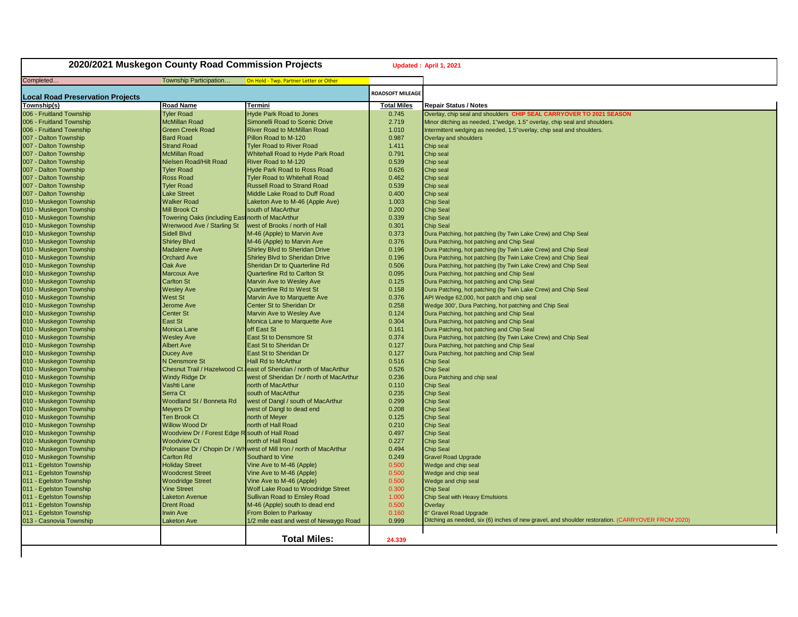| 2020/2021 Muskegon County Road Commission Projects |                                                  |                                                                      | Updated: April 1, 2021  |                                                                                                                             |
|----------------------------------------------------|--------------------------------------------------|----------------------------------------------------------------------|-------------------------|-----------------------------------------------------------------------------------------------------------------------------|
| Completed                                          | Township Participation.                          | On Hold - Twp. Partner Letter or Other                               |                         |                                                                                                                             |
| <b>Local Road Preservation Projects</b>            |                                                  |                                                                      | <b>ROADSOFT MILEAGE</b> |                                                                                                                             |
| Township(s)                                        | <b>Road Name</b>                                 | Termini                                                              | <b>Total Miles</b>      | <b>Repair Status / Notes</b>                                                                                                |
| 006 - Fruitland Township                           | <b>Tyler Road</b>                                | <b>Hyde Park Road to Jones</b>                                       | 0.745                   | Overlay, chip seal and shoulders CHIP SEAL CARRYOVER TO 2021 SEASON                                                         |
| 006 - Fruitland Township                           | <b>McMillan Road</b>                             | Simonelli Road to Scenic Drive                                       | 2.719                   | Minor ditching as needed, 1"wedge, 1.5" overlay, chip seal and shoulders.                                                   |
| 006 - Fruitland Township                           | <b>Green Creek Road</b>                          | <b>River Road to McMillan Road</b>                                   | 1.010                   | Intermittent wedging as needed, 1.5" overlay, chip seal and shoulders.                                                      |
| 007 - Dalton Township                              | <b>Bard Road</b>                                 | Pillon Road to M-120                                                 | 0.987                   | Overlay and shoulders                                                                                                       |
| 007 - Dalton Township                              | <b>Strand Road</b>                               | <b>Tyler Road to River Road</b>                                      | 1.411                   | Chip seal                                                                                                                   |
| 007 - Dalton Township                              | <b>McMillan Road</b>                             | Whitehall Road to Hyde Park Road                                     | 0.791                   | Chip seal                                                                                                                   |
| 007 - Dalton Township                              | Nielsen Road/Hilt Road                           | River Road to M-120                                                  | 0.539                   | Chip seal                                                                                                                   |
| 007 - Dalton Township                              | <b>Tyler Road</b>                                | <b>Hyde Park Road to Ross Road</b>                                   | 0.626                   | Chip seal                                                                                                                   |
| 007 - Dalton Township                              | <b>Ross Road</b>                                 | <b>Tyler Road to Whitehall Road</b>                                  | 0.462                   | Chip seal                                                                                                                   |
| 007 - Dalton Township                              | <b>Tyler Road</b>                                | <b>Russell Road to Strand Road</b>                                   | 0.539                   | Chip seal                                                                                                                   |
| 007 - Dalton Township                              | <b>Lake Street</b>                               | Middle Lake Road to Duff Road                                        | 0.400                   | Chip seal                                                                                                                   |
| 010 - Muskegon Township                            | <b>Walker Road</b>                               | Laketon Ave to M-46 (Apple Ave)                                      | 1.003                   | <b>Chip Seal</b>                                                                                                            |
| 010 - Muskegon Township                            | <b>Mill Brook Ct</b>                             | south of MacArthur                                                   | 0.200                   | <b>Chip Seal</b>                                                                                                            |
| 010 - Muskegon Township                            | Towering Oaks (including East north of MacArthur |                                                                      | 0.339                   | <b>Chip Seal</b>                                                                                                            |
| 010 - Muskegon Township                            | Wrenwood Ave / Starling St                       | west of Brooks / north of Hall                                       | 0.301                   | <b>Chip Seal</b>                                                                                                            |
| 010 - Muskegon Township                            | Sidell Blvd                                      | M-46 (Apple) to Marvin Ave                                           | 0.373                   | Dura Patching, hot patching (by Twin Lake Crew) and Chip Seal                                                               |
| 010 - Muskegon Township                            | <b>Shirley Blvd</b>                              | M-46 (Apple) to Marvin Ave                                           | 0.376                   | Dura Patching, hot patching and Chip Seal                                                                                   |
| 010 - Muskegon Township                            | <b>Madalene Ave</b>                              | Shirley Blvd to Sheridan Drive                                       | 0.196                   | Dura Patching, hot patching (by Twin Lake Crew) and Chip Seal                                                               |
| 010 - Muskegon Township                            | <b>Orchard Ave</b>                               | <b>Shirley Blvd to Sheridan Drive</b>                                | 0.196                   | Dura Patching, hot patching (by Twin Lake Crew) and Chip Seal                                                               |
| 010 - Muskegon Township                            | <b>Oak Ave</b>                                   | Sheridan Dr to Quarterline Rd                                        | 0.506                   | Dura Patching, hot patching (by Twin Lake Crew) and Chip Seal                                                               |
| 010 - Muskegon Township                            | <b>Marcoux Ave</b>                               | <b>Quarterline Rd to Carlton St</b>                                  | 0.095                   | Dura Patching, hot patching and Chip Seal                                                                                   |
| 010 - Muskegon Township                            | <b>Carlton St</b>                                | Marvin Ave to Wesley Ave                                             | 0.125                   | Dura Patching, hot patching and Chip Seal                                                                                   |
| 010 - Muskegon Township                            | <b>Wesley Ave</b>                                | <b>Quarterline Rd to West St</b>                                     | 0.158                   | Dura Patching, hot patching (by Twin Lake Crew) and Chip Seal                                                               |
| 010 - Muskegon Township                            | <b>West St</b>                                   | Marvin Ave to Marquette Ave                                          | 0.376                   | API Wedge 62,000, hot patch and chip seal                                                                                   |
| 010 - Muskegon Township                            | Jerome Ave                                       | Center St to Sheridan Dr                                             | 0.258                   | Wedge 300', Dura Patching, hot patching and Chip Seal                                                                       |
| 010 - Muskegon Township                            | <b>Center St</b>                                 | <b>Marvin Ave to Wesley Ave</b>                                      | 0.124                   | Dura Patching, hot patching and Chip Seal                                                                                   |
| 010 - Muskegon Township                            | East St                                          | Monica Lane to Marquette Ave                                         | 0.304                   | Dura Patching, hot patching and Chip Seal                                                                                   |
| 010 - Muskegon Township                            | <b>Monica Lane</b>                               | off East St                                                          | 0.161                   | Dura Patching, hot patching and Chip Seal                                                                                   |
| 010 - Muskegon Township                            | <b>Wesley Ave</b>                                | East St to Densmore St                                               | 0.374                   | Dura Patching, hot patching (by Twin Lake Crew) and Chip Seal                                                               |
| 010 - Muskegon Township                            | <b>Albert Ave</b>                                | East St to Sheridan Dr                                               | 0.127                   | Dura Patching, hot patching and Chip Seal                                                                                   |
| 010 - Muskegon Township                            | <b>Ducey Ave</b>                                 | East St to Sheridan Dr                                               | 0.127                   | Dura Patching, hot patching and Chip Seal                                                                                   |
| 010 - Muskegon Township                            | N Densmore St                                    | <b>Hall Rd to McArthur</b>                                           | 0.516                   | <b>Chip Seal</b>                                                                                                            |
| 010 - Muskegon Township                            | Chesnut Trail / Hazelwood Ct                     | east of Sheridan / north of MacArthur                                | 0.526                   | <b>Chip Seal</b>                                                                                                            |
| 010 - Muskegon Township                            | <b>Windy Ridge Dr</b>                            | west of Sheridan Dr / north of MacArthur                             | 0.236                   | Dura Patching and chip seal                                                                                                 |
| 010 - Muskegon Township                            | Vashti Lane                                      | north of MacArthur                                                   | 0.110                   | <b>Chip Seal</b>                                                                                                            |
| 010 - Muskegon Township                            | Serra Ct                                         | south of MacArthur                                                   | 0.235                   | Chip Seal                                                                                                                   |
| 010 - Muskegon Township                            | Woodland St / Bonneta Rd                         | west of Dangl / south of MacArthur                                   | 0.299                   | <b>Chip Seal</b>                                                                                                            |
| 010 - Muskegon Township                            | Meyers Dr                                        | west of Dangl to dead end                                            | 0.208                   | <b>Chip Seal</b>                                                                                                            |
| 010 - Muskegon Township                            | <b>Ten Brook Ct</b>                              | north of Meyer                                                       | 0.125                   | <b>Chip Seal</b>                                                                                                            |
| 010 - Muskegon Township                            | <b>Willow Wood Dr</b>                            | north of Hall Road                                                   | 0.210                   | <b>Chip Seal</b>                                                                                                            |
| 010 - Muskegon Township                            | Woodview Dr / Forest Edge R south of Hall Road   |                                                                      | 0.497                   | <b>Chip Seal</b>                                                                                                            |
| 010 - Muskegon Township                            | <b>Woodview Ct</b>                               | north of Hall Road                                                   | 0.227                   | <b>Chip Seal</b>                                                                                                            |
| 010 - Muskegon Township                            |                                                  | Polonaise Dr / Chopin Dr / Wh west of Mill Iron / north of MacArthur | 0.494                   | <b>Chip Seal</b>                                                                                                            |
| 010 - Muskegon Township                            | <b>Carlton Rd</b>                                | Southard to Vine                                                     | 0.249                   | <b>Gravel Road Upgrade</b>                                                                                                  |
| 011 - Egelston Township                            | <b>Holiday Street</b>                            | Vine Ave to M-46 (Apple)                                             | 0.500                   | Wedge and chip seal                                                                                                         |
| 011 - Egelston Township                            | <b>Woodcrest Street</b>                          | Vine Ave to M-46 (Apple)                                             | 0.500                   | Wedge and chip seal                                                                                                         |
| 011 - Egelston Township                            | <b>Woodridge Street</b>                          | Vine Ave to M-46 (Apple)                                             | 0.500                   | Wedge and chip seal                                                                                                         |
| 011 - Egelston Township                            | <b>Vine Street</b>                               | <b>Wolf Lake Road to Woodridge Street</b>                            | 0.300                   | <b>Chip Seal</b>                                                                                                            |
| 011 - Egelston Township                            | <b>Laketon Avenue</b>                            | <b>Sullivan Road to Ensley Road</b>                                  | 1.000                   | Chip Seal with Heavy Emulsions                                                                                              |
| 011 - Egelston Township                            | <b>Drent Road</b>                                | M-46 (Apple) south to dead end                                       | 0.500                   | Overlay                                                                                                                     |
| 011 - Egelston Township                            | <b>Irwin Ave</b>                                 | From Bolen to Parkway                                                | 0.160<br>0.999          | 6" Gravel Road Upgrade<br>Ditching as needed, six (6) inches of new gravel, and shoulder restoration. (CARRYOVER FROM 2020) |
| 013 - Casnovia Township                            | Laketon Ave                                      | 1/2 mile east and west of Newaygo Road                               |                         |                                                                                                                             |
|                                                    |                                                  | <b>Total Miles:</b>                                                  | 24.339                  |                                                                                                                             |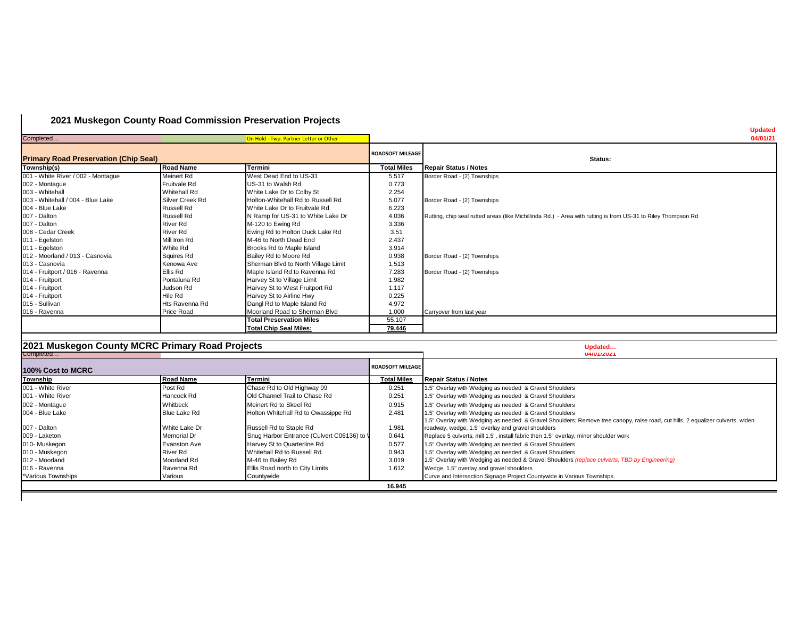## **2021 Muskegon County Road Commission Preservation Projects**

| Completed                                    |                  | On Hold - Twp. Partner Letter or Other |                         |                                                                                                               | <b>updated</b><br>04/01/21 |
|----------------------------------------------|------------------|----------------------------------------|-------------------------|---------------------------------------------------------------------------------------------------------------|----------------------------|
| <b>Primary Road Preservation (Chip Seal)</b> |                  |                                        | <b>ROADSOFT MILEAGE</b> | Status:                                                                                                       |                            |
| Township(s)                                  | <b>Road Name</b> | Termini                                | <b>Total Miles</b>      | <b>Repair Status / Notes</b>                                                                                  |                            |
| 001 - White River / 002 - Montague           | Meinert Rd       | West Dead End to US-31                 | 5.517                   | Border Road - (2) Townships                                                                                   |                            |
| 002 - Montague                               | Fruitvale Rd     | US-31 to Walsh Rd                      | 0.773                   |                                                                                                               |                            |
| 003 - Whitehall                              | Whitehall Rd     | White Lake Dr to Colby St              | 2.254                   |                                                                                                               |                            |
| 003 - Whitehall / 004 - Blue Lake            | Silver Creek Rd  | Holton-Whitehall Rd to Russell Rd      | 5.077                   | Border Road - (2) Townships                                                                                   |                            |
| 004 - Blue Lake                              | Russell Rd       | White Lake Dr to Fruitvale Rd          | 6.223                   |                                                                                                               |                            |
| 007 - Dalton                                 | Russell Rd       | N Ramp for US-31 to White Lake Dr      | 4.036                   | Rutting, chip seal rutted areas (like Michillinda Rd.) - Area with rutting is from US-31 to Riley Thompson Rd |                            |
| 007 - Dalton                                 | River Rd         | M-120 to Ewing Rd                      | 3.336                   |                                                                                                               |                            |
| 008 - Cedar Creek                            | <b>River Rd</b>  | Ewing Rd to Holton Duck Lake Rd        | 3.51                    |                                                                                                               |                            |
| 011 - Egelston                               | Mill Iron Rd     | M-46 to North Dead End                 | 2.437                   |                                                                                                               |                            |
| 011 - Egelston                               | White Rd         | Brooks Rd to Maple Island              | 3.914                   |                                                                                                               |                            |
| 012 - Moorland / 013 - Casnovia              | Squires Rd       | Bailey Rd to Moore Rd                  | 0.938                   | Border Road - (2) Townships                                                                                   |                            |
| 013 - Casnovia                               | Kenowa Ave       | Sherman Blvd to North Village Limit    | 1.513                   |                                                                                                               |                            |
| 014 - Fruitport / 016 - Ravenna              | Ellis Rd         | Maple Island Rd to Ravenna Rd          | 7.283                   | Border Road - (2) Townships                                                                                   |                            |
| 014 - Fruitport                              | Pontaluna Rd     | Harvey St to Village Limit             | 1.982                   |                                                                                                               |                            |
| 014 - Fruitport                              | Judson Rd        | Harvey St to West Fruitport Rd         | 1.117                   |                                                                                                               |                            |
| 014 - Fruitport                              | Hile Rd          | Harvey St to Airline Hwy               | 0.225                   |                                                                                                               |                            |
| 015 - Sullivan                               | Hts Ravenna Rd   | Dangl Rd to Maple Island Rd            | 4.972                   |                                                                                                               |                            |
| 016 - Ravenna                                | Price Road       | Moorland Road to Sherman Blvd          | 1.000                   | Carryover from last year                                                                                      |                            |
|                                              |                  | <b>Total Preservation Miles</b>        | 55.107                  |                                                                                                               |                            |
|                                              |                  | <b>Total Chip Seal Miles:</b>          | 79.446                  |                                                                                                               |                            |

| 12021 Muskegon County MCRC Primary Road Projects<br>Completed |                     |                                            |                         | Updated<br><b>U4/U1/2U21</b>                                                                                                                                                             |  |
|---------------------------------------------------------------|---------------------|--------------------------------------------|-------------------------|------------------------------------------------------------------------------------------------------------------------------------------------------------------------------------------|--|
| 100% Cost to MCRC                                             |                     |                                            | <b>ROADSOFT MILEAGE</b> |                                                                                                                                                                                          |  |
| <b>Township</b>                                               | <b>Road Name</b>    | Termini                                    | <b>Total Miles</b>      | <b>Repair Status / Notes</b>                                                                                                                                                             |  |
| 001 - White River                                             | Post Rd             | Chase Rd to Old Highway 99                 | 0.251                   | 1.5" Overlay with Wedging as needed & Gravel Shoulders                                                                                                                                   |  |
| 001 - White River                                             | Hancock Rd          | Old Channel Trail to Chase Rd              | 0.251                   | 1.5" Overlay with Wedging as needed & Gravel Shoulders                                                                                                                                   |  |
| 002 - Montaque                                                | Whitbeck            | Meinert Rd to Skeel Rd                     | 0.915                   | 1.5" Overlay with Wedging as needed & Gravel Shoulders                                                                                                                                   |  |
| 004 - Blue Lake                                               | Blue Lake Rd        | Holton Whitehall Rd to Owassippe Rd        | 2.481                   | 1.5" Overlay with Wedging as needed & Gravel Shoulders<br>1.5" Overlay with Wedging as needed & Gravel Shoulders; Remove tree canopy, raise road, cut hills, 2 equalizer culverts, widen |  |
| 007 - Dalton                                                  | White Lake Dr       | Russell Rd to Staple Rd                    | 1.981                   | roadway, wedge, 1.5" overlay and gravel shoulders                                                                                                                                        |  |
| 009 - Laketon                                                 | Memorial Dr         | Snug Harbor Entrance (Culvert C06136) to \ | 0.641                   | Replace 5 culverts, mill 1.5", install fabric then 1.5" overlay, minor shoulder work                                                                                                     |  |
| 010-Muskegon                                                  | <b>Evanston Ave</b> | Harvey St to Quarterline Rd                | 0.577                   | 1.5" Overlay with Wedging as needed & Gravel Shoulders                                                                                                                                   |  |
| 010 - Muskegon                                                | River Rd            | Whitehall Rd to Russell Rd                 | 0.943                   | 1.5" Overlay with Wedging as needed & Gravel Shoulders                                                                                                                                   |  |
| 012 - Moorland                                                | Moorland Rd         | M-46 to Bailey Rd                          | 3.019                   | 1.5" Overlay with Wedging as needed & Gravel Shoulders <i>(replace culverts, TBD by Engineering)</i>                                                                                     |  |
| 016 - Ravenna                                                 | Ravenna Rd          | Ellis Road north to City Limits            | 1.612                   | Wedge, 1.5" overlay and gravel shoulders                                                                                                                                                 |  |
| *Various Townships                                            | Various             | Countywide                                 |                         | Curve and Intersection Signage Project Countywide in Various Townships.                                                                                                                  |  |
|                                                               | 16.945              |                                            |                         |                                                                                                                                                                                          |  |

**Updated**